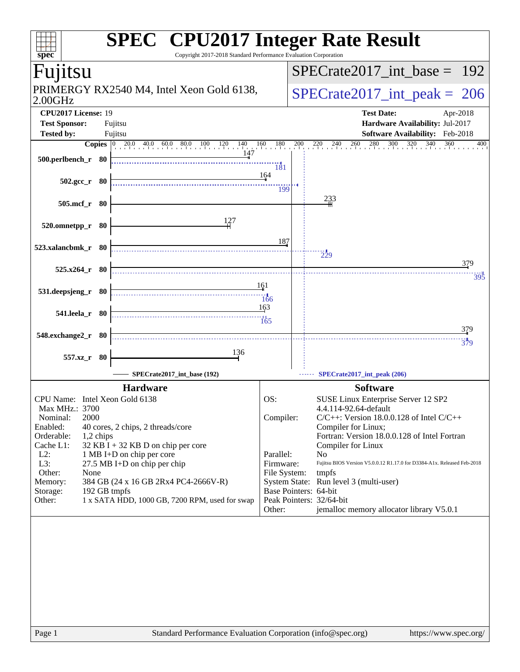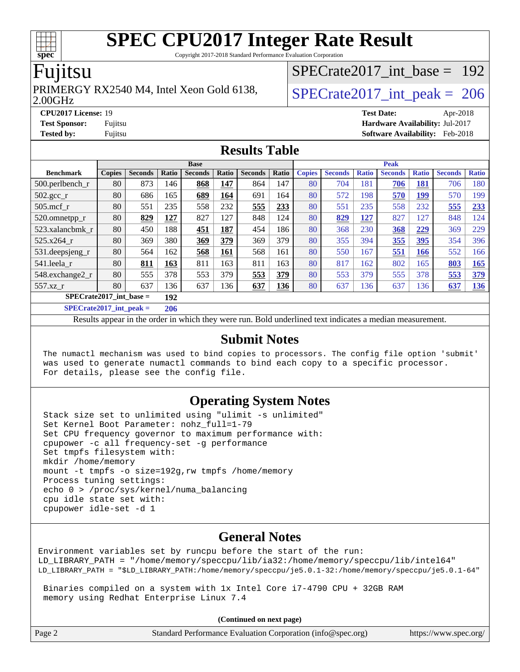Copyright 2017-2018 Standard Performance Evaluation Corporation

### Fujitsu

**[spec](http://www.spec.org/)**

#### 2.00GHz PRIMERGY RX2540 M4, Intel Xeon Gold 6138,  $\vert$  [SPECrate2017\\_int\\_peak =](http://www.spec.org/auto/cpu2017/Docs/result-fields.html#SPECrate2017intpeak) 206

[SPECrate2017\\_int\\_base =](http://www.spec.org/auto/cpu2017/Docs/result-fields.html#SPECrate2017intbase) 192

**[CPU2017 License:](http://www.spec.org/auto/cpu2017/Docs/result-fields.html#CPU2017License)** 19 **[Test Date:](http://www.spec.org/auto/cpu2017/Docs/result-fields.html#TestDate)** Apr-2018 **[Test Sponsor:](http://www.spec.org/auto/cpu2017/Docs/result-fields.html#TestSponsor)** Fujitsu **[Hardware Availability:](http://www.spec.org/auto/cpu2017/Docs/result-fields.html#HardwareAvailability)** Jul-2017

**[Tested by:](http://www.spec.org/auto/cpu2017/Docs/result-fields.html#Testedby)** Fujitsu **[Software Availability:](http://www.spec.org/auto/cpu2017/Docs/result-fields.html#SoftwareAvailability)** Feb-2018

#### **[Results Table](http://www.spec.org/auto/cpu2017/Docs/result-fields.html#ResultsTable)**

| <b>Base</b>                      |               |                |              |                | <b>Peak</b> |                |       |               |                |              |                |              |                |              |
|----------------------------------|---------------|----------------|--------------|----------------|-------------|----------------|-------|---------------|----------------|--------------|----------------|--------------|----------------|--------------|
| <b>Benchmark</b>                 | <b>Copies</b> | <b>Seconds</b> | <b>Ratio</b> | <b>Seconds</b> | Ratio       | <b>Seconds</b> | Ratio | <b>Copies</b> | <b>Seconds</b> | <b>Ratio</b> | <b>Seconds</b> | <b>Ratio</b> | <b>Seconds</b> | <b>Ratio</b> |
| 500.perlbench_r                  | 80            | 873            | 146          | 868            | 147         | 864            | 147   | 80            | 704            | 181          | 706            | 181          | 706            | 180          |
| $502.\text{sec}$                 | 80            | 686            | 165          | 689            | 164         | 691            | 164   | 80            | 572            | 198          | 570            | 199          | 570            | 199          |
| $505$ .mcf r                     | 80            | 551            | 235          | 558            | 232         | 555            | 233   | 80            | 551            | 235          | 558            | 232          | 555            | 233          |
| 520.omnetpp_r                    | 80            | 829            | 127          | 827            | 127         | 848            | 124   | 80            | 829            | 127          | 827            | 127          | 848            | 124          |
| 523.xalancbmk r                  | 80            | 450            | 188          | 451            | 187         | 454            | 186   | 80            | 368            | 230          | 368            | 229          | 369            | 229          |
| 525.x264 r                       | 80            | 369            | 380          | 369            | 379         | 369            | 379   | 80            | 355            | 394          | <u>355</u>     | <u>395</u>   | 354            | 396          |
| 531.deepsjeng_r                  | 80            | 564            | 162          | 568            | 161         | 568            | 161   | 80            | 550            | 167          | 551            | 166          | 552            | 166          |
| 541.leela r                      | 80            | 811            | 163          | 811            | 163         | 811            | 163   | 80            | 817            | 162          | 802            | 165          | 803            | 165          |
| 548.exchange2_r                  | 80            | 555            | 378          | 553            | 379         | 553            | 379   | 80            | 553            | 379          | 555            | 378          | 553            | 379          |
| 557.xz                           | 80            | 637            | 136          | 637            | 136         | 637            | 136   | 80            | 637            | 136          | 637            | 136          | 637            | <u>136</u>   |
| $SPECrate2017$ int base =<br>192 |               |                |              |                |             |                |       |               |                |              |                |              |                |              |
| $CDFCrot02017$ int nook –        |               |                | 20C          |                |             |                |       |               |                |              |                |              |                |              |

**[SPECrate2017\\_int\\_peak =](http://www.spec.org/auto/cpu2017/Docs/result-fields.html#SPECrate2017intpeak) 206**

Results appear in the [order in which they were run](http://www.spec.org/auto/cpu2017/Docs/result-fields.html#RunOrder). Bold underlined text [indicates a median measurement](http://www.spec.org/auto/cpu2017/Docs/result-fields.html#Median).

#### **[Submit Notes](http://www.spec.org/auto/cpu2017/Docs/result-fields.html#SubmitNotes)**

 The numactl mechanism was used to bind copies to processors. The config file option 'submit' was used to generate numactl commands to bind each copy to a specific processor. For details, please see the config file.

#### **[Operating System Notes](http://www.spec.org/auto/cpu2017/Docs/result-fields.html#OperatingSystemNotes)**

 Stack size set to unlimited using "ulimit -s unlimited" Set Kernel Boot Parameter: nohz\_full=1-79 Set CPU frequency governor to maximum performance with: cpupower -c all frequency-set -g performance Set tmpfs filesystem with: mkdir /home/memory mount -t tmpfs -o size=192g,rw tmpfs /home/memory Process tuning settings: echo 0 > /proc/sys/kernel/numa\_balancing cpu idle state set with: cpupower idle-set -d 1

#### **[General Notes](http://www.spec.org/auto/cpu2017/Docs/result-fields.html#GeneralNotes)**

Environment variables set by runcpu before the start of the run: LD\_LIBRARY\_PATH = "/home/memory/speccpu/lib/ia32:/home/memory/speccpu/lib/intel64" LD\_LIBRARY\_PATH = "\$LD\_LIBRARY\_PATH:/home/memory/speccpu/je5.0.1-32:/home/memory/speccpu/je5.0.1-64"

 Binaries compiled on a system with 1x Intel Core i7-4790 CPU + 32GB RAM memory using Redhat Enterprise Linux 7.4

**(Continued on next page)**

| Page 2 | Standard Performance Evaluation Corporation (info@spec.org) | https://www.spec.org/ |
|--------|-------------------------------------------------------------|-----------------------|
|--------|-------------------------------------------------------------|-----------------------|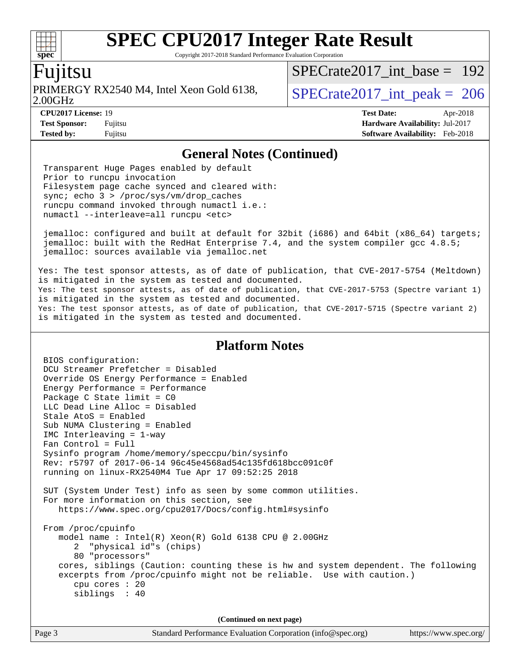Copyright 2017-2018 Standard Performance Evaluation Corporation

### Fujitsu

**[spec](http://www.spec.org/)**

2.00GHz PRIMERGY RX2540 M4, Intel Xeon Gold 6138,  $\vert$  [SPECrate2017\\_int\\_peak =](http://www.spec.org/auto/cpu2017/Docs/result-fields.html#SPECrate2017intpeak) 206

[SPECrate2017\\_int\\_base =](http://www.spec.org/auto/cpu2017/Docs/result-fields.html#SPECrate2017intbase) 192

**[CPU2017 License:](http://www.spec.org/auto/cpu2017/Docs/result-fields.html#CPU2017License)** 19 **[Test Date:](http://www.spec.org/auto/cpu2017/Docs/result-fields.html#TestDate)** Apr-2018 **[Test Sponsor:](http://www.spec.org/auto/cpu2017/Docs/result-fields.html#TestSponsor)** Fujitsu **[Hardware Availability:](http://www.spec.org/auto/cpu2017/Docs/result-fields.html#HardwareAvailability)** Jul-2017 **[Tested by:](http://www.spec.org/auto/cpu2017/Docs/result-fields.html#Testedby)** Fujitsu **[Software Availability:](http://www.spec.org/auto/cpu2017/Docs/result-fields.html#SoftwareAvailability)** Feb-2018

#### **[General Notes \(Continued\)](http://www.spec.org/auto/cpu2017/Docs/result-fields.html#GeneralNotes)**

 Transparent Huge Pages enabled by default Prior to runcpu invocation Filesystem page cache synced and cleared with: sync; echo 3 > /proc/sys/vm/drop\_caches runcpu command invoked through numactl i.e.: numactl --interleave=all runcpu <etc>

 jemalloc: configured and built at default for 32bit (i686) and 64bit (x86\_64) targets; jemalloc: built with the RedHat Enterprise 7.4, and the system compiler gcc 4.8.5; jemalloc: sources available via jemalloc.net

Yes: The test sponsor attests, as of date of publication, that CVE-2017-5754 (Meltdown) is mitigated in the system as tested and documented. Yes: The test sponsor attests, as of date of publication, that CVE-2017-5753 (Spectre variant 1) is mitigated in the system as tested and documented. Yes: The test sponsor attests, as of date of publication, that CVE-2017-5715 (Spectre variant 2) is mitigated in the system as tested and documented.

#### **[Platform Notes](http://www.spec.org/auto/cpu2017/Docs/result-fields.html#PlatformNotes)**

 BIOS configuration: DCU Streamer Prefetcher = Disabled Override OS Energy Performance = Enabled Energy Performance = Performance Package C State limit = C0 LLC Dead Line Alloc = Disabled Stale AtoS = Enabled Sub NUMA Clustering = Enabled IMC Interleaving = 1-way Fan Control = Full Sysinfo program /home/memory/speccpu/bin/sysinfo Rev: r5797 of 2017-06-14 96c45e4568ad54c135fd618bcc091c0f running on linux-RX2540M4 Tue Apr 17 09:52:25 2018 SUT (System Under Test) info as seen by some common utilities. For more information on this section, see <https://www.spec.org/cpu2017/Docs/config.html#sysinfo> From /proc/cpuinfo model name : Intel(R) Xeon(R) Gold 6138 CPU @ 2.00GHz 2 "physical id"s (chips) 80 "processors" cores, siblings (Caution: counting these is hw and system dependent. The following excerpts from /proc/cpuinfo might not be reliable. Use with caution.) cpu cores : 20 siblings : 40 **(Continued on next page)**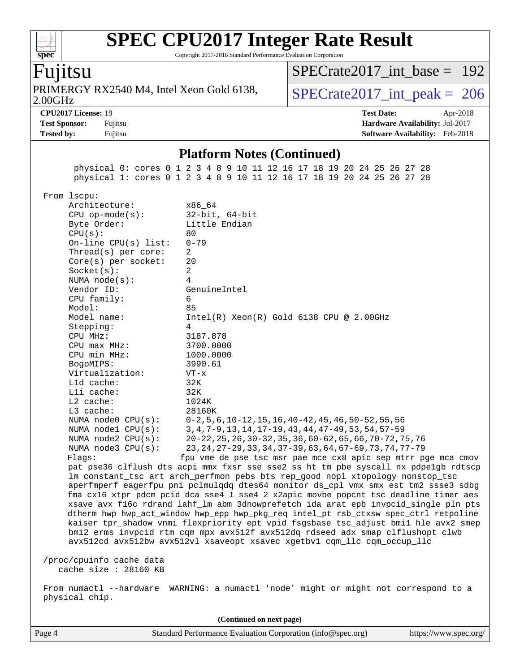Copyright 2017-2018 Standard Performance Evaluation Corporation

### Fujitsu

**[spec](http://www.spec.org/)**

2.00GHz PRIMERGY RX2540 M4, Intel Xeon Gold 6138,  $\vert$  [SPECrate2017\\_int\\_peak =](http://www.spec.org/auto/cpu2017/Docs/result-fields.html#SPECrate2017intpeak) 206

[SPECrate2017\\_int\\_base =](http://www.spec.org/auto/cpu2017/Docs/result-fields.html#SPECrate2017intbase) 192

**[Tested by:](http://www.spec.org/auto/cpu2017/Docs/result-fields.html#Testedby)** Fujitsu **Fugital Example 2018 [Software Availability:](http://www.spec.org/auto/cpu2017/Docs/result-fields.html#SoftwareAvailability)** Feb-2018

**[CPU2017 License:](http://www.spec.org/auto/cpu2017/Docs/result-fields.html#CPU2017License)** 19 **[Test Date:](http://www.spec.org/auto/cpu2017/Docs/result-fields.html#TestDate)** Apr-2018 **[Test Sponsor:](http://www.spec.org/auto/cpu2017/Docs/result-fields.html#TestSponsor)** Fujitsu **[Hardware Availability:](http://www.spec.org/auto/cpu2017/Docs/result-fields.html#HardwareAvailability)** Jul-2017

#### **[Platform Notes \(Continued\)](http://www.spec.org/auto/cpu2017/Docs/result-fields.html#PlatformNotes)**

 physical 0: cores 0 1 2 3 4 8 9 10 11 12 16 17 18 19 20 24 25 26 27 28 physical 1: cores 0 1 2 3 4 8 9 10 11 12 16 17 18 19 20 24 25 26 27 28

From lscpu:

| Architecture:          | x86 64                                                                               |
|------------------------|--------------------------------------------------------------------------------------|
| $CPU$ op-mode( $s$ ):  | $32$ -bit, $64$ -bit                                                                 |
| Byte Order:            | Little Endian                                                                        |
| CPU(s):                | 80                                                                                   |
| On-line $CPU(s)$ list: | $0 - 79$                                                                             |
| Thread(s) per core:    | 2                                                                                    |
| $Core(s)$ per socket:  | 20                                                                                   |
| Socket(s):             | $\overline{a}$                                                                       |
| NUMA $node(s):$        | $\overline{4}$                                                                       |
| Vendor ID:             | GenuineIntel                                                                         |
| CPU family:            | 6                                                                                    |
| Model:                 | 85                                                                                   |
| Model name:            | $Intel(R) Xeon(R) Gold 6138 CPU @ 2.00GHz$                                           |
| Stepping:              | $\overline{4}$                                                                       |
| CPU MHz:               | 3187.878                                                                             |
| CPU max MHz:           | 3700.0000                                                                            |
| CPU min MHz:           | 1000.0000                                                                            |
| BogoMIPS:              | 3990.61                                                                              |
| Virtualization:        | $VT - x$                                                                             |
| L1d cache:             | 32K                                                                                  |
| Lli cache:             | 32K                                                                                  |
| $L2$ cache:            | 1024K                                                                                |
| $L3$ cache:            | 28160K                                                                               |
| NUMA node0 CPU(s):     | $0-2, 5, 6, 10-12, 15, 16, 40-42, 45, 46, 50-52, 55, 56$                             |
| NUMA nodel $CPU(s):$   | 3, 4, 7-9, 13, 14, 17-19, 43, 44, 47-49, 53, 54, 57-59                               |
| NUMA node2 CPU(s):     | 20-22, 25, 26, 30-32, 35, 36, 60-62, 65, 66, 70-72, 75, 76                           |
| NUMA $node3$ $CPU(s):$ | 23, 24, 27-29, 33, 34, 37-39, 63, 64, 67-69, 73, 74, 77-79                           |
| Flaqs:                 | fpu vme de pse tsc msr pae mce cx8 apic sep mtrr pqe mca cmov                        |
|                        | pat pse36 clflush dts acpi mmx fxsr sse sse2 ss ht tm pbe syscall nx pdpe1gb rdtscp  |
|                        | Im constant_tsc art arch_perfmon pebs bts rep_good nopl xtopology nonstop_tsc        |
|                        | aperfmperf eagerfpu pni pclmulqdq dtes64 monitor ds_cpl vmx smx est tm2 ssse3 sdbg   |
|                        | fma cx16 xtpr pdcm pcid dca sse4 1 sse4 2 x2apic movbe popcnt tsc deadline timer aes |
|                        | xsave avx f16c rdrand lahf_lm abm 3dnowprefetch ida arat epb invpcid_single pln pts  |
|                        | dtherm hwp hwp_act_window hwp_epp hwp_pkg_req intel_pt rsb_ctxsw spec_ctrl retpoline |
|                        | kaiser tpr_shadow vnmi flexpriority ept vpid fsgsbase tsc_adjust bmil hle avx2 smep  |
|                        | bmi2 erms invpcid rtm cqm mpx avx512f avx512dq rdseed adx smap clflushopt clwb       |
|                        | avx512cd avx512bw avx512vl xsaveopt xsavec xgetbvl cqm_llc cqm_occup_llc             |
|                        |                                                                                      |

 /proc/cpuinfo cache data cache size : 28160 KB

 From numactl --hardware WARNING: a numactl 'node' might or might not correspond to a physical chip.

Page 4 Standard Performance Evaluation Corporation [\(info@spec.org\)](mailto:info@spec.org) <https://www.spec.org/> **(Continued on next page)**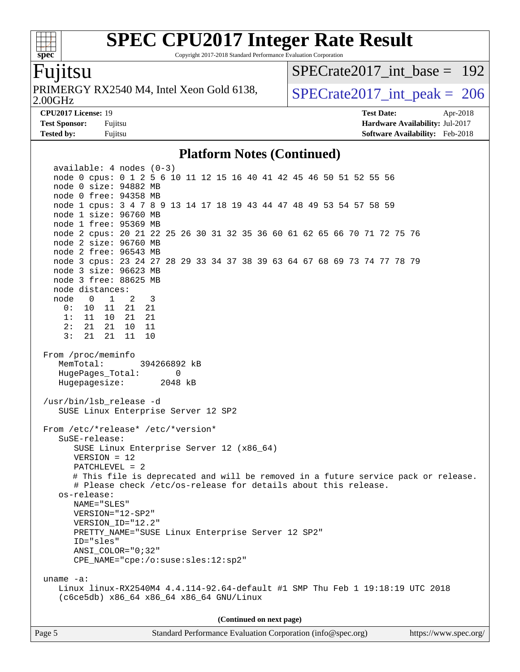Copyright 2017-2018 Standard Performance Evaluation Corporation

### Fujitsu

**[spec](http://www.spec.org/)**

 $+\ +$ 

2.00GHz PRIMERGY RX2540 M4, Intel Xeon Gold 6138,  $\vert$  [SPECrate2017\\_int\\_peak =](http://www.spec.org/auto/cpu2017/Docs/result-fields.html#SPECrate2017intpeak) 206

[SPECrate2017\\_int\\_base =](http://www.spec.org/auto/cpu2017/Docs/result-fields.html#SPECrate2017intbase) 192

**[CPU2017 License:](http://www.spec.org/auto/cpu2017/Docs/result-fields.html#CPU2017License)** 19 **[Test Date:](http://www.spec.org/auto/cpu2017/Docs/result-fields.html#TestDate)** Apr-2018 **[Test Sponsor:](http://www.spec.org/auto/cpu2017/Docs/result-fields.html#TestSponsor)** Fujitsu **[Hardware Availability:](http://www.spec.org/auto/cpu2017/Docs/result-fields.html#HardwareAvailability)** Jul-2017 **[Tested by:](http://www.spec.org/auto/cpu2017/Docs/result-fields.html#Testedby)** Fujitsu **[Software Availability:](http://www.spec.org/auto/cpu2017/Docs/result-fields.html#SoftwareAvailability)** Feb-2018

#### **[Platform Notes \(Continued\)](http://www.spec.org/auto/cpu2017/Docs/result-fields.html#PlatformNotes)**

 available: 4 nodes (0-3) node 0 cpus: 0 1 2 5 6 10 11 12 15 16 40 41 42 45 46 50 51 52 55 56 node 0 size: 94882 MB node 0 free: 94358 MB node 1 cpus: 3 4 7 8 9 13 14 17 18 19 43 44 47 48 49 53 54 57 58 59 node 1 size: 96760 MB node 1 free: 95369 MB node 2 cpus: 20 21 22 25 26 30 31 32 35 36 60 61 62 65 66 70 71 72 75 76 node 2 size: 96760 MB node 2 free: 96543 MB node 3 cpus: 23 24 27 28 29 33 34 37 38 39 63 64 67 68 69 73 74 77 78 79 node 3 size: 96623 MB node 3 free: 88625 MB node distances: node 0 1 2 3 0: 10 11 21 21 1: 11 10 21 21 2: 21 21 10 11 3: 21 21 11 10 From /proc/meminfo MemTotal: 394266892 kB HugePages\_Total: 0 Hugepagesize: 2048 kB /usr/bin/lsb\_release -d SUSE Linux Enterprise Server 12 SP2 From /etc/\*release\* /etc/\*version\* SuSE-release: SUSE Linux Enterprise Server 12 (x86\_64) VERSION = 12 PATCHLEVEL = 2 # This file is deprecated and will be removed in a future service pack or release. # Please check /etc/os-release for details about this release. os-release: NAME="SLES" VERSION="12-SP2" VERSION\_ID="12.2" PRETTY\_NAME="SUSE Linux Enterprise Server 12 SP2" ID="sles" ANSI\_COLOR="0;32" CPE\_NAME="cpe:/o:suse:sles:12:sp2" uname -a: Linux linux-RX2540M4 4.4.114-92.64-default #1 SMP Thu Feb 1 19:18:19 UTC 2018 (c6ce5db) x86\_64 x86\_64 x86\_64 GNU/Linux **(Continued on next page)**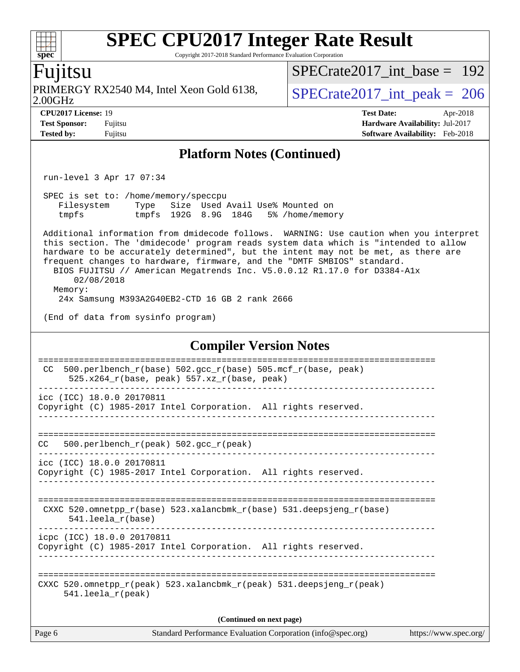Copyright 2017-2018 Standard Performance Evaluation Corporation

### Fujitsu

**[spec](http://www.spec.org/)**

PRIMERGY RX2540 M4, Intel Xeon Gold 6138,<br>2.00GHz

[SPECrate2017\\_int\\_base =](http://www.spec.org/auto/cpu2017/Docs/result-fields.html#SPECrate2017intbase) 192

 $SPECTate2017\_int\_peak = 206$ 

**[Tested by:](http://www.spec.org/auto/cpu2017/Docs/result-fields.html#Testedby)** Fujitsu **Fugital Example 2018 [Software Availability:](http://www.spec.org/auto/cpu2017/Docs/result-fields.html#SoftwareAvailability)** Feb-2018

**[CPU2017 License:](http://www.spec.org/auto/cpu2017/Docs/result-fields.html#CPU2017License)** 19 **[Test Date:](http://www.spec.org/auto/cpu2017/Docs/result-fields.html#TestDate)** Apr-2018 **[Test Sponsor:](http://www.spec.org/auto/cpu2017/Docs/result-fields.html#TestSponsor)** Fujitsu **[Hardware Availability:](http://www.spec.org/auto/cpu2017/Docs/result-fields.html#HardwareAvailability)** Jul-2017

#### **[Platform Notes \(Continued\)](http://www.spec.org/auto/cpu2017/Docs/result-fields.html#PlatformNotes)**

run-level 3 Apr 17 07:34

 SPEC is set to: /home/memory/speccpu Filesystem Type Size Used Avail Use% Mounted on tmpfs tmpfs 192G 8.9G 184G 5% /home/memory

 Additional information from dmidecode follows. WARNING: Use caution when you interpret this section. The 'dmidecode' program reads system data which is "intended to allow hardware to be accurately determined", but the intent may not be met, as there are frequent changes to hardware, firmware, and the "DMTF SMBIOS" standard. BIOS FUJITSU // American Megatrends Inc. V5.0.0.12 R1.17.0 for D3384-A1x 02/08/2018 Memory:

24x Samsung M393A2G40EB2-CTD 16 GB 2 rank 2666

(End of data from sysinfo program)

#### **[Compiler Version Notes](http://www.spec.org/auto/cpu2017/Docs/result-fields.html#CompilerVersionNotes)**

| 500.perlbench $r(base)$ 502.qcc $r(base)$ 505.mcf $r(base, peak)$<br>CC.<br>$525.x264$ r(base, peak) 557.xz r(base, peak) |  |  |  |  |  |  |
|---------------------------------------------------------------------------------------------------------------------------|--|--|--|--|--|--|
| icc (ICC) 18.0.0 20170811                                                                                                 |  |  |  |  |  |  |
| Copyright (C) 1985-2017 Intel Corporation. All rights reserved.                                                           |  |  |  |  |  |  |
|                                                                                                                           |  |  |  |  |  |  |
| 500.perlbench $r(\text{peak})$ 502.gcc $r(\text{peak})$<br>CC.                                                            |  |  |  |  |  |  |
| icc (ICC) 18.0.0 20170811                                                                                                 |  |  |  |  |  |  |
| Copyright (C) 1985-2017 Intel Corporation. All rights reserved.                                                           |  |  |  |  |  |  |
|                                                                                                                           |  |  |  |  |  |  |
|                                                                                                                           |  |  |  |  |  |  |
| CXXC 520.omnetpp $r(base)$ 523.xalancbmk $r(base)$ 531.deepsjeng $r(base)$<br>$541.$ leela $r(base)$                      |  |  |  |  |  |  |
| icpc (ICC) 18.0.0 20170811                                                                                                |  |  |  |  |  |  |
| Copyright (C) 1985-2017 Intel Corporation. All rights reserved.                                                           |  |  |  |  |  |  |
|                                                                                                                           |  |  |  |  |  |  |
| CXXC 520.omnetpp $r(\text{peak})$ 523.xalancbmk $r(\text{peak})$ 531.deepsjeng $r(\text{peak})$                           |  |  |  |  |  |  |
| $541.$ leela $r$ (peak)                                                                                                   |  |  |  |  |  |  |
|                                                                                                                           |  |  |  |  |  |  |
| (Continued on next page)                                                                                                  |  |  |  |  |  |  |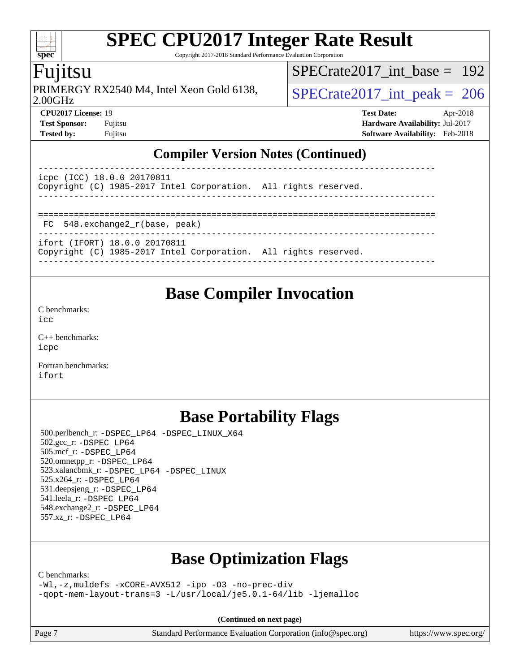Copyright 2017-2018 Standard Performance Evaluation Corporation

### Fujitsu

**[spec](http://www.spec.org/)**

 $\pm\pm$ 

2.00GHz PRIMERGY RX2540 M4, Intel Xeon Gold 6138,  $\vert$  [SPECrate2017\\_int\\_peak =](http://www.spec.org/auto/cpu2017/Docs/result-fields.html#SPECrate2017intpeak) 206

[SPECrate2017\\_int\\_base =](http://www.spec.org/auto/cpu2017/Docs/result-fields.html#SPECrate2017intbase) 192

**[CPU2017 License:](http://www.spec.org/auto/cpu2017/Docs/result-fields.html#CPU2017License)** 19 **[Test Date:](http://www.spec.org/auto/cpu2017/Docs/result-fields.html#TestDate)** Apr-2018 **[Test Sponsor:](http://www.spec.org/auto/cpu2017/Docs/result-fields.html#TestSponsor)** Fujitsu **[Hardware Availability:](http://www.spec.org/auto/cpu2017/Docs/result-fields.html#HardwareAvailability)** Jul-2017 **[Tested by:](http://www.spec.org/auto/cpu2017/Docs/result-fields.html#Testedby)** Fujitsu **Fugital Example 2018 [Software Availability:](http://www.spec.org/auto/cpu2017/Docs/result-fields.html#SoftwareAvailability)** Feb-2018

#### **[Compiler Version Notes \(Continued\)](http://www.spec.org/auto/cpu2017/Docs/result-fields.html#CompilerVersionNotes)**

| icpc (ICC) 18.0.0 20170811                                      |  |
|-----------------------------------------------------------------|--|
| Copyright (C) 1985-2017 Intel Corporation. All rights reserved. |  |
|                                                                 |  |
|                                                                 |  |
| FC 548.exchange2_r(base, peak)                                  |  |
| ifort (IFORT) 18.0.0 20170811                                   |  |

------------------------------------------------------------------------------

Copyright (C) 1985-2017 Intel Corporation. All rights reserved.

# **[Base Compiler Invocation](http://www.spec.org/auto/cpu2017/Docs/result-fields.html#BaseCompilerInvocation)**

[C benchmarks](http://www.spec.org/auto/cpu2017/Docs/result-fields.html#Cbenchmarks):  $i$ cc

[C++ benchmarks:](http://www.spec.org/auto/cpu2017/Docs/result-fields.html#CXXbenchmarks) [icpc](http://www.spec.org/cpu2017/results/res2018q2/cpu2017-20180427-05045.flags.html#user_CXXbase_intel_icpc_18.0_c510b6838c7f56d33e37e94d029a35b4a7bccf4766a728ee175e80a419847e808290a9b78be685c44ab727ea267ec2f070ec5dc83b407c0218cded6866a35d07)

[Fortran benchmarks](http://www.spec.org/auto/cpu2017/Docs/result-fields.html#Fortranbenchmarks): [ifort](http://www.spec.org/cpu2017/results/res2018q2/cpu2017-20180427-05045.flags.html#user_FCbase_intel_ifort_18.0_8111460550e3ca792625aed983ce982f94888b8b503583aa7ba2b8303487b4d8a21a13e7191a45c5fd58ff318f48f9492884d4413fa793fd88dd292cad7027ca)

# **[Base Portability Flags](http://www.spec.org/auto/cpu2017/Docs/result-fields.html#BasePortabilityFlags)**

 500.perlbench\_r: [-DSPEC\\_LP64](http://www.spec.org/cpu2017/results/res2018q2/cpu2017-20180427-05045.flags.html#b500.perlbench_r_basePORTABILITY_DSPEC_LP64) [-DSPEC\\_LINUX\\_X64](http://www.spec.org/cpu2017/results/res2018q2/cpu2017-20180427-05045.flags.html#b500.perlbench_r_baseCPORTABILITY_DSPEC_LINUX_X64) 502.gcc\_r: [-DSPEC\\_LP64](http://www.spec.org/cpu2017/results/res2018q2/cpu2017-20180427-05045.flags.html#suite_basePORTABILITY502_gcc_r_DSPEC_LP64) 505.mcf\_r: [-DSPEC\\_LP64](http://www.spec.org/cpu2017/results/res2018q2/cpu2017-20180427-05045.flags.html#suite_basePORTABILITY505_mcf_r_DSPEC_LP64) 520.omnetpp\_r: [-DSPEC\\_LP64](http://www.spec.org/cpu2017/results/res2018q2/cpu2017-20180427-05045.flags.html#suite_basePORTABILITY520_omnetpp_r_DSPEC_LP64) 523.xalancbmk\_r: [-DSPEC\\_LP64](http://www.spec.org/cpu2017/results/res2018q2/cpu2017-20180427-05045.flags.html#suite_basePORTABILITY523_xalancbmk_r_DSPEC_LP64) [-DSPEC\\_LINUX](http://www.spec.org/cpu2017/results/res2018q2/cpu2017-20180427-05045.flags.html#b523.xalancbmk_r_baseCXXPORTABILITY_DSPEC_LINUX) 525.x264\_r: [-DSPEC\\_LP64](http://www.spec.org/cpu2017/results/res2018q2/cpu2017-20180427-05045.flags.html#suite_basePORTABILITY525_x264_r_DSPEC_LP64) 531.deepsjeng\_r: [-DSPEC\\_LP64](http://www.spec.org/cpu2017/results/res2018q2/cpu2017-20180427-05045.flags.html#suite_basePORTABILITY531_deepsjeng_r_DSPEC_LP64) 541.leela\_r: [-DSPEC\\_LP64](http://www.spec.org/cpu2017/results/res2018q2/cpu2017-20180427-05045.flags.html#suite_basePORTABILITY541_leela_r_DSPEC_LP64) 548.exchange2\_r: [-DSPEC\\_LP64](http://www.spec.org/cpu2017/results/res2018q2/cpu2017-20180427-05045.flags.html#suite_basePORTABILITY548_exchange2_r_DSPEC_LP64) 557.xz\_r: [-DSPEC\\_LP64](http://www.spec.org/cpu2017/results/res2018q2/cpu2017-20180427-05045.flags.html#suite_basePORTABILITY557_xz_r_DSPEC_LP64)

# **[Base Optimization Flags](http://www.spec.org/auto/cpu2017/Docs/result-fields.html#BaseOptimizationFlags)**

[C benchmarks](http://www.spec.org/auto/cpu2017/Docs/result-fields.html#Cbenchmarks):

[-Wl,-z,muldefs](http://www.spec.org/cpu2017/results/res2018q2/cpu2017-20180427-05045.flags.html#user_CCbase_link_force_multiple1_b4cbdb97b34bdee9ceefcfe54f4c8ea74255f0b02a4b23e853cdb0e18eb4525ac79b5a88067c842dd0ee6996c24547a27a4b99331201badda8798ef8a743f577) [-xCORE-AVX512](http://www.spec.org/cpu2017/results/res2018q2/cpu2017-20180427-05045.flags.html#user_CCbase_f-xCORE-AVX512) [-ipo](http://www.spec.org/cpu2017/results/res2018q2/cpu2017-20180427-05045.flags.html#user_CCbase_f-ipo) [-O3](http://www.spec.org/cpu2017/results/res2018q2/cpu2017-20180427-05045.flags.html#user_CCbase_f-O3) [-no-prec-div](http://www.spec.org/cpu2017/results/res2018q2/cpu2017-20180427-05045.flags.html#user_CCbase_f-no-prec-div) [-qopt-mem-layout-trans=3](http://www.spec.org/cpu2017/results/res2018q2/cpu2017-20180427-05045.flags.html#user_CCbase_f-qopt-mem-layout-trans_de80db37974c74b1f0e20d883f0b675c88c3b01e9d123adea9b28688d64333345fb62bc4a798493513fdb68f60282f9a726aa07f478b2f7113531aecce732043) [-L/usr/local/je5.0.1-64/lib](http://www.spec.org/cpu2017/results/res2018q2/cpu2017-20180427-05045.flags.html#user_CCbase_jemalloc_link_path64_4b10a636b7bce113509b17f3bd0d6226c5fb2346b9178c2d0232c14f04ab830f976640479e5c33dc2bcbbdad86ecfb6634cbbd4418746f06f368b512fced5394) [-ljemalloc](http://www.spec.org/cpu2017/results/res2018q2/cpu2017-20180427-05045.flags.html#user_CCbase_jemalloc_link_lib_d1249b907c500fa1c0672f44f562e3d0f79738ae9e3c4a9c376d49f265a04b9c99b167ecedbf6711b3085be911c67ff61f150a17b3472be731631ba4d0471706)

**(Continued on next page)**

Page 7 Standard Performance Evaluation Corporation [\(info@spec.org\)](mailto:info@spec.org) <https://www.spec.org/>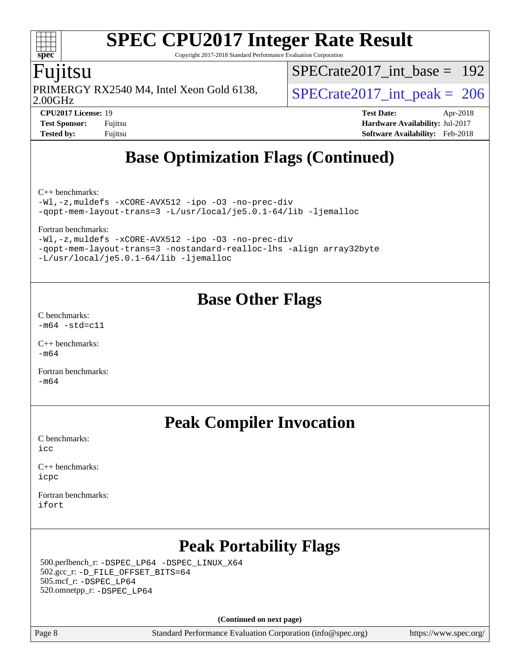Copyright 2017-2018 Standard Performance Evaluation Corporation

### Fujitsu

**[spec](http://www.spec.org/)**

 $\pm\pm$ 

2.00GHz PRIMERGY RX2540 M4, Intel Xeon Gold 6138,  $\vert$  [SPECrate2017\\_int\\_peak =](http://www.spec.org/auto/cpu2017/Docs/result-fields.html#SPECrate2017intpeak) 206

[SPECrate2017\\_int\\_base =](http://www.spec.org/auto/cpu2017/Docs/result-fields.html#SPECrate2017intbase) 192

**[Test Sponsor:](http://www.spec.org/auto/cpu2017/Docs/result-fields.html#TestSponsor)** Fujitsu **[Hardware Availability:](http://www.spec.org/auto/cpu2017/Docs/result-fields.html#HardwareAvailability)** Jul-2017 **[Tested by:](http://www.spec.org/auto/cpu2017/Docs/result-fields.html#Testedby)** Fujitsu **[Software Availability:](http://www.spec.org/auto/cpu2017/Docs/result-fields.html#SoftwareAvailability)** Feb-2018

**[CPU2017 License:](http://www.spec.org/auto/cpu2017/Docs/result-fields.html#CPU2017License)** 19 **[Test Date:](http://www.spec.org/auto/cpu2017/Docs/result-fields.html#TestDate)** Apr-2018

**[Base Optimization Flags \(Continued\)](http://www.spec.org/auto/cpu2017/Docs/result-fields.html#BaseOptimizationFlags)**

[C++ benchmarks:](http://www.spec.org/auto/cpu2017/Docs/result-fields.html#CXXbenchmarks)

[-Wl,-z,muldefs](http://www.spec.org/cpu2017/results/res2018q2/cpu2017-20180427-05045.flags.html#user_CXXbase_link_force_multiple1_b4cbdb97b34bdee9ceefcfe54f4c8ea74255f0b02a4b23e853cdb0e18eb4525ac79b5a88067c842dd0ee6996c24547a27a4b99331201badda8798ef8a743f577) [-xCORE-AVX512](http://www.spec.org/cpu2017/results/res2018q2/cpu2017-20180427-05045.flags.html#user_CXXbase_f-xCORE-AVX512) [-ipo](http://www.spec.org/cpu2017/results/res2018q2/cpu2017-20180427-05045.flags.html#user_CXXbase_f-ipo) [-O3](http://www.spec.org/cpu2017/results/res2018q2/cpu2017-20180427-05045.flags.html#user_CXXbase_f-O3) [-no-prec-div](http://www.spec.org/cpu2017/results/res2018q2/cpu2017-20180427-05045.flags.html#user_CXXbase_f-no-prec-div) [-qopt-mem-layout-trans=3](http://www.spec.org/cpu2017/results/res2018q2/cpu2017-20180427-05045.flags.html#user_CXXbase_f-qopt-mem-layout-trans_de80db37974c74b1f0e20d883f0b675c88c3b01e9d123adea9b28688d64333345fb62bc4a798493513fdb68f60282f9a726aa07f478b2f7113531aecce732043) [-L/usr/local/je5.0.1-64/lib](http://www.spec.org/cpu2017/results/res2018q2/cpu2017-20180427-05045.flags.html#user_CXXbase_jemalloc_link_path64_4b10a636b7bce113509b17f3bd0d6226c5fb2346b9178c2d0232c14f04ab830f976640479e5c33dc2bcbbdad86ecfb6634cbbd4418746f06f368b512fced5394) [-ljemalloc](http://www.spec.org/cpu2017/results/res2018q2/cpu2017-20180427-05045.flags.html#user_CXXbase_jemalloc_link_lib_d1249b907c500fa1c0672f44f562e3d0f79738ae9e3c4a9c376d49f265a04b9c99b167ecedbf6711b3085be911c67ff61f150a17b3472be731631ba4d0471706)

[Fortran benchmarks](http://www.spec.org/auto/cpu2017/Docs/result-fields.html#Fortranbenchmarks):

[-Wl,-z,muldefs](http://www.spec.org/cpu2017/results/res2018q2/cpu2017-20180427-05045.flags.html#user_FCbase_link_force_multiple1_b4cbdb97b34bdee9ceefcfe54f4c8ea74255f0b02a4b23e853cdb0e18eb4525ac79b5a88067c842dd0ee6996c24547a27a4b99331201badda8798ef8a743f577) [-xCORE-AVX512](http://www.spec.org/cpu2017/results/res2018q2/cpu2017-20180427-05045.flags.html#user_FCbase_f-xCORE-AVX512) [-ipo](http://www.spec.org/cpu2017/results/res2018q2/cpu2017-20180427-05045.flags.html#user_FCbase_f-ipo) [-O3](http://www.spec.org/cpu2017/results/res2018q2/cpu2017-20180427-05045.flags.html#user_FCbase_f-O3) [-no-prec-div](http://www.spec.org/cpu2017/results/res2018q2/cpu2017-20180427-05045.flags.html#user_FCbase_f-no-prec-div) [-qopt-mem-layout-trans=3](http://www.spec.org/cpu2017/results/res2018q2/cpu2017-20180427-05045.flags.html#user_FCbase_f-qopt-mem-layout-trans_de80db37974c74b1f0e20d883f0b675c88c3b01e9d123adea9b28688d64333345fb62bc4a798493513fdb68f60282f9a726aa07f478b2f7113531aecce732043) [-nostandard-realloc-lhs](http://www.spec.org/cpu2017/results/res2018q2/cpu2017-20180427-05045.flags.html#user_FCbase_f_2003_std_realloc_82b4557e90729c0f113870c07e44d33d6f5a304b4f63d4c15d2d0f1fab99f5daaed73bdb9275d9ae411527f28b936061aa8b9c8f2d63842963b95c9dd6426b8a) [-align array32byte](http://www.spec.org/cpu2017/results/res2018q2/cpu2017-20180427-05045.flags.html#user_FCbase_align_array32byte_b982fe038af199962ba9a80c053b8342c548c85b40b8e86eb3cc33dee0d7986a4af373ac2d51c3f7cf710a18d62fdce2948f201cd044323541f22fc0fffc51b6) [-L/usr/local/je5.0.1-64/lib](http://www.spec.org/cpu2017/results/res2018q2/cpu2017-20180427-05045.flags.html#user_FCbase_jemalloc_link_path64_4b10a636b7bce113509b17f3bd0d6226c5fb2346b9178c2d0232c14f04ab830f976640479e5c33dc2bcbbdad86ecfb6634cbbd4418746f06f368b512fced5394) [-ljemalloc](http://www.spec.org/cpu2017/results/res2018q2/cpu2017-20180427-05045.flags.html#user_FCbase_jemalloc_link_lib_d1249b907c500fa1c0672f44f562e3d0f79738ae9e3c4a9c376d49f265a04b9c99b167ecedbf6711b3085be911c67ff61f150a17b3472be731631ba4d0471706)

### **[Base Other Flags](http://www.spec.org/auto/cpu2017/Docs/result-fields.html#BaseOtherFlags)**

[C benchmarks](http://www.spec.org/auto/cpu2017/Docs/result-fields.html#Cbenchmarks):  $-m64$   $-std=cl1$ 

 $C_{++}$  benchmarks: [-m64](http://www.spec.org/cpu2017/results/res2018q2/cpu2017-20180427-05045.flags.html#user_CXXbase_intel_intel64_18.0_af43caccfc8ded86e7699f2159af6efc7655f51387b94da716254467f3c01020a5059329e2569e4053f409e7c9202a7efc638f7a6d1ffb3f52dea4a3e31d82ab)

[Fortran benchmarks](http://www.spec.org/auto/cpu2017/Docs/result-fields.html#Fortranbenchmarks):  $-m64$ 

## **[Peak Compiler Invocation](http://www.spec.org/auto/cpu2017/Docs/result-fields.html#PeakCompilerInvocation)**

[C benchmarks](http://www.spec.org/auto/cpu2017/Docs/result-fields.html#Cbenchmarks): [icc](http://www.spec.org/cpu2017/results/res2018q2/cpu2017-20180427-05045.flags.html#user_CCpeak_intel_icc_18.0_66fc1ee009f7361af1fbd72ca7dcefbb700085f36577c54f309893dd4ec40d12360134090235512931783d35fd58c0460139e722d5067c5574d8eaf2b3e37e92)

[C++ benchmarks:](http://www.spec.org/auto/cpu2017/Docs/result-fields.html#CXXbenchmarks) [icpc](http://www.spec.org/cpu2017/results/res2018q2/cpu2017-20180427-05045.flags.html#user_CXXpeak_intel_icpc_18.0_c510b6838c7f56d33e37e94d029a35b4a7bccf4766a728ee175e80a419847e808290a9b78be685c44ab727ea267ec2f070ec5dc83b407c0218cded6866a35d07)

[Fortran benchmarks](http://www.spec.org/auto/cpu2017/Docs/result-fields.html#Fortranbenchmarks): [ifort](http://www.spec.org/cpu2017/results/res2018q2/cpu2017-20180427-05045.flags.html#user_FCpeak_intel_ifort_18.0_8111460550e3ca792625aed983ce982f94888b8b503583aa7ba2b8303487b4d8a21a13e7191a45c5fd58ff318f48f9492884d4413fa793fd88dd292cad7027ca)

# **[Peak Portability Flags](http://www.spec.org/auto/cpu2017/Docs/result-fields.html#PeakPortabilityFlags)**

 500.perlbench\_r: [-DSPEC\\_LP64](http://www.spec.org/cpu2017/results/res2018q2/cpu2017-20180427-05045.flags.html#b500.perlbench_r_peakPORTABILITY_DSPEC_LP64) [-DSPEC\\_LINUX\\_X64](http://www.spec.org/cpu2017/results/res2018q2/cpu2017-20180427-05045.flags.html#b500.perlbench_r_peakCPORTABILITY_DSPEC_LINUX_X64) 502.gcc\_r: [-D\\_FILE\\_OFFSET\\_BITS=64](http://www.spec.org/cpu2017/results/res2018q2/cpu2017-20180427-05045.flags.html#user_peakPORTABILITY502_gcc_r_file_offset_bits_64_5ae949a99b284ddf4e95728d47cb0843d81b2eb0e18bdfe74bbf0f61d0b064f4bda2f10ea5eb90e1dcab0e84dbc592acfc5018bc955c18609f94ddb8d550002c) 505.mcf\_r: [-DSPEC\\_LP64](http://www.spec.org/cpu2017/results/res2018q2/cpu2017-20180427-05045.flags.html#suite_peakPORTABILITY505_mcf_r_DSPEC_LP64) 520.omnetpp\_r: [-DSPEC\\_LP64](http://www.spec.org/cpu2017/results/res2018q2/cpu2017-20180427-05045.flags.html#suite_peakPORTABILITY520_omnetpp_r_DSPEC_LP64)

**(Continued on next page)**

Page 8 Standard Performance Evaluation Corporation [\(info@spec.org\)](mailto:info@spec.org) <https://www.spec.org/>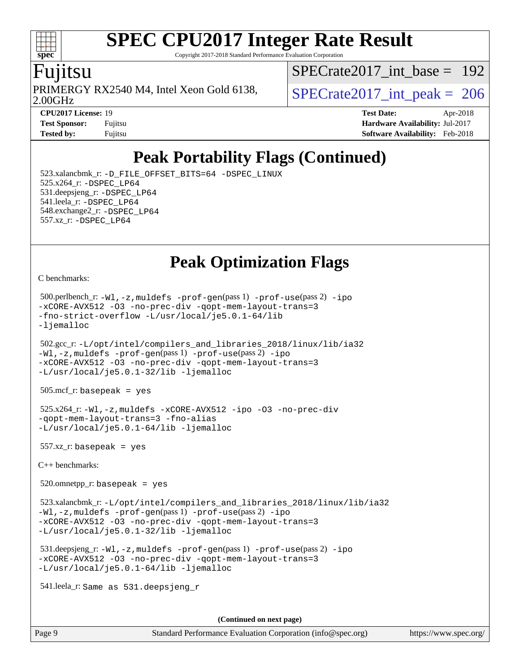Copyright 2017-2018 Standard Performance Evaluation Corporation

### **ujitsu**

**[spec](http://www.spec.org/)**

2.00GHz PRIMERGY RX2540 M4, Intel Xeon Gold 6138,  $\vert$  [SPECrate2017\\_int\\_peak =](http://www.spec.org/auto/cpu2017/Docs/result-fields.html#SPECrate2017intpeak) 206

[SPECrate2017\\_int\\_base =](http://www.spec.org/auto/cpu2017/Docs/result-fields.html#SPECrate2017intbase) 192

**[CPU2017 License:](http://www.spec.org/auto/cpu2017/Docs/result-fields.html#CPU2017License)** 19 **[Test Date:](http://www.spec.org/auto/cpu2017/Docs/result-fields.html#TestDate)** Apr-2018 **[Test Sponsor:](http://www.spec.org/auto/cpu2017/Docs/result-fields.html#TestSponsor)** Fujitsu **[Hardware Availability:](http://www.spec.org/auto/cpu2017/Docs/result-fields.html#HardwareAvailability)** Jul-2017 **[Tested by:](http://www.spec.org/auto/cpu2017/Docs/result-fields.html#Testedby)** Fujitsu **[Software Availability:](http://www.spec.org/auto/cpu2017/Docs/result-fields.html#SoftwareAvailability)** Feb-2018

# **[Peak Portability Flags \(Continued\)](http://www.spec.org/auto/cpu2017/Docs/result-fields.html#PeakPortabilityFlags)**

 523.xalancbmk\_r: [-D\\_FILE\\_OFFSET\\_BITS=64](http://www.spec.org/cpu2017/results/res2018q2/cpu2017-20180427-05045.flags.html#user_peakPORTABILITY523_xalancbmk_r_file_offset_bits_64_5ae949a99b284ddf4e95728d47cb0843d81b2eb0e18bdfe74bbf0f61d0b064f4bda2f10ea5eb90e1dcab0e84dbc592acfc5018bc955c18609f94ddb8d550002c) [-DSPEC\\_LINUX](http://www.spec.org/cpu2017/results/res2018q2/cpu2017-20180427-05045.flags.html#b523.xalancbmk_r_peakCXXPORTABILITY_DSPEC_LINUX) 525.x264\_r: [-DSPEC\\_LP64](http://www.spec.org/cpu2017/results/res2018q2/cpu2017-20180427-05045.flags.html#suite_peakPORTABILITY525_x264_r_DSPEC_LP64) 531.deepsjeng\_r: [-DSPEC\\_LP64](http://www.spec.org/cpu2017/results/res2018q2/cpu2017-20180427-05045.flags.html#suite_peakPORTABILITY531_deepsjeng_r_DSPEC_LP64) 541.leela\_r: [-DSPEC\\_LP64](http://www.spec.org/cpu2017/results/res2018q2/cpu2017-20180427-05045.flags.html#suite_peakPORTABILITY541_leela_r_DSPEC_LP64) 548.exchange2\_r: [-DSPEC\\_LP64](http://www.spec.org/cpu2017/results/res2018q2/cpu2017-20180427-05045.flags.html#suite_peakPORTABILITY548_exchange2_r_DSPEC_LP64) 557.xz\_r: [-DSPEC\\_LP64](http://www.spec.org/cpu2017/results/res2018q2/cpu2017-20180427-05045.flags.html#suite_peakPORTABILITY557_xz_r_DSPEC_LP64)

**[Peak Optimization Flags](http://www.spec.org/auto/cpu2017/Docs/result-fields.html#PeakOptimizationFlags)**

[C benchmarks](http://www.spec.org/auto/cpu2017/Docs/result-fields.html#Cbenchmarks):

```
 500.perlbench_r: -Wl,-z,muldefs -prof-gen(pass 1) -prof-use(pass 2) -ipo
-xCORE-AVX512 -O3 -no-prec-div -qopt-mem-layout-trans=3
-fno-strict-overflow -L/usr/local/je5.0.1-64/lib
-ljemalloc
 502.gcc_r: -L/opt/intel/compilers_and_libraries_2018/linux/lib/ia32
-Wl,-z,muldefs -prof-gen(pass 1) -prof-use(pass 2) -ipo
-xCORE-AVX512 -O3 -no-prec-div -qopt-mem-layout-trans=3
-L/usr/local/je5.0.1-32/lib -ljemalloc
 505.mcf_r: basepeak = yes
 525.x264_r: -Wl,-z,muldefs -xCORE-AVX512 -ipo -O3 -no-prec-div
-qopt-mem-layout-trans=3 -fno-alias
-L/usr/local/je5.0.1-64/lib -ljemalloc
 557.xz_r: basepeak = yes
C++ benchmarks: 
520.omnetpp_r: basepeak = yes
 523.xalancbmk_r: -L/opt/intel/compilers_and_libraries_2018/linux/lib/ia32
-Wl,-z,muldefs -prof-gen(pass 1) -prof-use(pass 2) -ipo
-xCORE-AVX512 -O3 -no-prec-div -qopt-mem-layout-trans=3
-L/usr/local/je5.0.1-32/lib -ljemalloc
 531.deepsjeng_r: -Wl,-z,muldefs -prof-gen(pass 1) -prof-use(pass 2) -ipo
-xCORE-AVX512 -O3 -no-prec-div -qopt-mem-layout-trans=3
-L/usr/local/je5.0.1-64/lib -ljemalloc
 541.leela_r: Same as 531.deepsjeng_r
```
**(Continued on next page)**